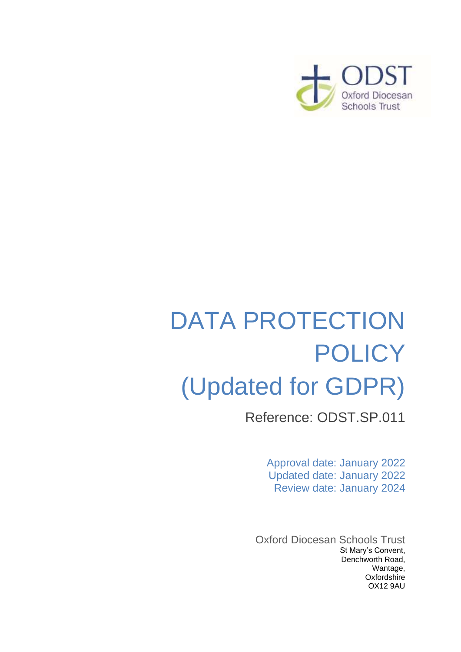

# DATA PROTECTION **POLICY** (Updated for GDPR)

Reference: ODST.SP.011

Approval date: January 2022 Updated date: January 2022 Review date: January 2024

Oxford Diocesan Schools Trust St Mary's Convent, Denchworth Road, Wantage, **Oxfordshire** OX12 9AU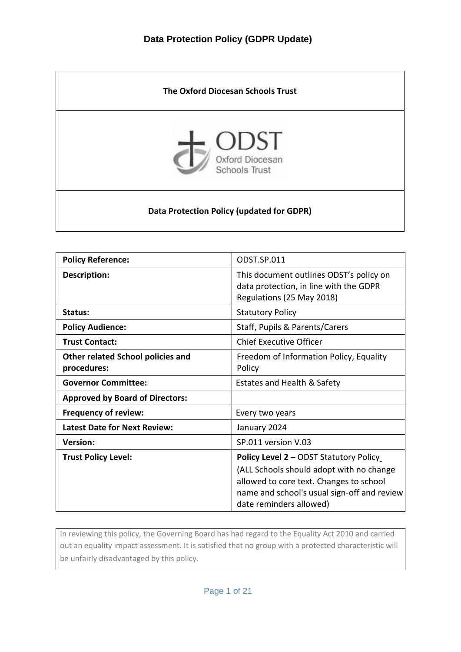

| <b>Policy Reference:</b>                                | ODST.SP.011                                                                                                                                                                                                    |
|---------------------------------------------------------|----------------------------------------------------------------------------------------------------------------------------------------------------------------------------------------------------------------|
| <b>Description:</b>                                     | This document outlines ODST's policy on<br>data protection, in line with the GDPR<br>Regulations (25 May 2018)                                                                                                 |
| Status:                                                 | <b>Statutory Policy</b>                                                                                                                                                                                        |
| <b>Policy Audience:</b>                                 | Staff, Pupils & Parents/Carers                                                                                                                                                                                 |
| <b>Trust Contact:</b>                                   | <b>Chief Executive Officer</b>                                                                                                                                                                                 |
| <b>Other related School policies and</b><br>procedures: | Freedom of Information Policy, Equality<br>Policy                                                                                                                                                              |
| <b>Governor Committee:</b>                              | Estates and Health & Safety                                                                                                                                                                                    |
| <b>Approved by Board of Directors:</b>                  |                                                                                                                                                                                                                |
| <b>Frequency of review:</b>                             | Every two years                                                                                                                                                                                                |
| <b>Latest Date for Next Review:</b>                     | January 2024                                                                                                                                                                                                   |
| <b>Version:</b>                                         | SP.011 version V.03                                                                                                                                                                                            |
| <b>Trust Policy Level:</b>                              | <b>Policy Level 2 - ODST Statutory Policy</b><br>(ALL Schools should adopt with no change<br>allowed to core text. Changes to school<br>name and school's usual sign-off and review<br>date reminders allowed) |

In reviewing this policy, the Governing Board has had regard to the Equality Act 2010 and carried out an equality impact assessment. It is satisfied that no group with a protected characteristic will be unfairly disadvantaged by this policy.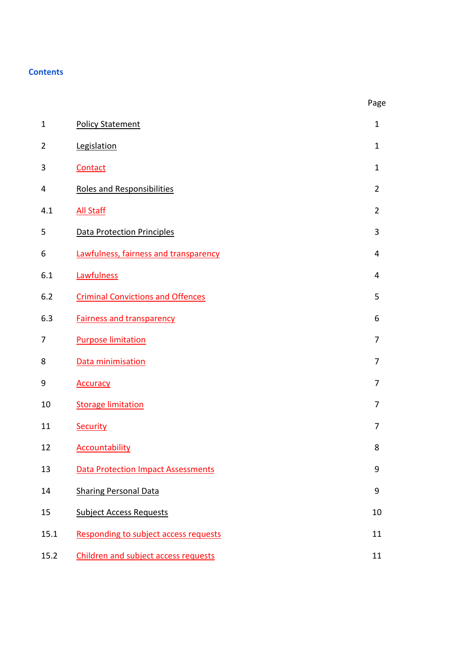## **Contents**

| $\mathbf{1}$   | <b>Policy Statement</b>                   | $\mathbf{1}$   |
|----------------|-------------------------------------------|----------------|
| $\overline{2}$ | Legislation                               | $\mathbf{1}$   |
| 3              | Contact                                   | $\mathbf{1}$   |
| 4              | <b>Roles and Responsibilities</b>         | $\overline{2}$ |
| 4.1            | <b>All Staff</b>                          | $\overline{2}$ |
| 5              | <b>Data Protection Principles</b>         | 3              |
| 6              | Lawfulness, fairness and transparency     | 4              |
| 6.1            | Lawfulness                                | 4              |
| 6.2            | <b>Criminal Convictions and Offences</b>  | 5              |
| 6.3            | <b>Fairness and transparency</b>          | 6              |
| 7              | <b>Purpose limitation</b>                 | $\overline{7}$ |
| 8              | Data minimisation                         | 7              |
| 9              | <b>Accuracy</b>                           | $\overline{7}$ |
| 10             | <b>Storage limitation</b>                 | $\overline{7}$ |
| 11             | Security                                  | 7              |
| 12             | <b>Accountability</b>                     | 8              |
| 13             | <b>Data Protection Impact Assessments</b> | 9              |
| 14             | <b>Sharing Personal Data</b>              | 9              |
| 15             | <b>Subject Access Requests</b>            | 10             |
| 15.1           | Responding to subject access requests     | 11             |
| 15.2           | Children and subject access requests      | 11             |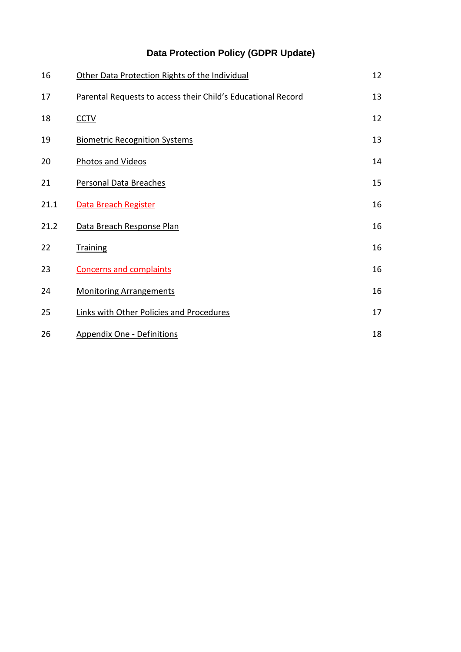| 16   | Other Data Protection Rights of the Individual               | 12 |
|------|--------------------------------------------------------------|----|
| 17   | Parental Requests to access their Child's Educational Record | 13 |
| 18   | <b>CCTV</b>                                                  | 12 |
| 19   | <b>Biometric Recognition Systems</b>                         | 13 |
| 20   | Photos and Videos                                            | 14 |
| 21   | Personal Data Breaches                                       | 15 |
| 21.1 | Data Breach Register                                         | 16 |
| 21.2 | Data Breach Response Plan                                    | 16 |
| 22   | <b>Training</b>                                              | 16 |
| 23   | <b>Concerns and complaints</b>                               | 16 |
| 24   | <b>Monitoring Arrangements</b>                               | 16 |
| 25   | Links with Other Policies and Procedures                     | 17 |
| 26   | <b>Appendix One - Definitions</b>                            | 18 |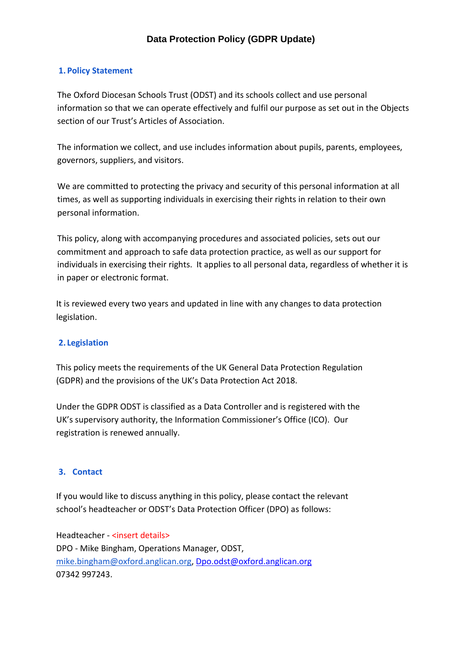#### <span id="page-4-0"></span>**1. Policy Statement**

The Oxford Diocesan Schools Trust (ODST) and its schools collect and use personal information so that we can operate effectively and fulfil our purpose as set out in the Objects section of our Trust's Articles of Association.

The information we collect, and use includes information about pupils, parents, employees, governors, suppliers, and visitors.

We are committed to protecting the privacy and security of this personal information at all times, as well as supporting individuals in exercising their rights in relation to their own personal information.

This policy, along with accompanying procedures and associated policies, sets out our commitment and approach to safe data protection practice, as well as our support for individuals in exercising their rights. It applies to all personal data, regardless of whether it is in paper or electronic format.

It is reviewed every two years and updated in line with any changes to data protection legislation.

#### <span id="page-4-1"></span>**2. Legislation**

This policy meets the requirements of the UK General Data Protection Regulation (GDPR) and the provisions of the UK's Data Protection Act 2018.

Under the GDPR ODST is classified as a Data Controller and is registered with the UK's supervisory authority, the Information Commissioner's Office (ICO). Our registration is renewed annually.

#### <span id="page-4-2"></span>**3. Contact**

If you would like to discuss anything in this policy, please contact the relevant school's headteacher or ODST's Data Protection Officer (DPO) as follows:

Headteacher - <insert details> DPO - Mike Bingham, Operations Manager, ODST, [mike.bingham@oxford.anglican.org,](mailto:mike.bingham@oxford.anglican.org) [Dpo.odst@oxford.anglican.org](mailto:Dpo.odst@oxford.anglican.org) 07342 997243.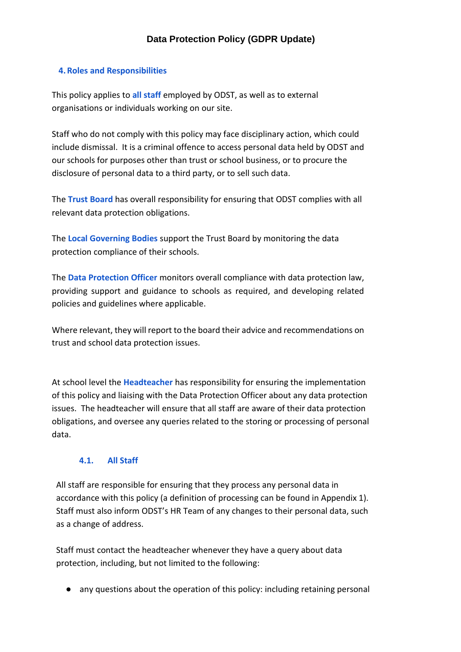#### <span id="page-5-0"></span>**4.Roles and Responsibilities**

This policy applies to **all staff** employed by ODST, as well as to external organisations or individuals working on our site.

Staff who do not comply with this policy may face disciplinary action, which could include dismissal. It is a criminal offence to access personal data held by ODST and our schools for purposes other than trust or school business, or to procure the disclosure of personal data to a third party, or to sell such data.

The **Trust Board** has overall responsibility for ensuring that ODST complies with all relevant data protection obligations.

The **Local Governing Bodies** support the Trust Board by monitoring the data protection compliance of their schools.

The **Data Protection Officer** monitors overall compliance with data protection law, providing support and guidance to schools as required, and developing related policies and guidelines where applicable.

Where relevant, they will report to the board their advice and recommendations on trust and school data protection issues.

At school level the **Headteacher** has responsibility for ensuring the implementation of this policy and liaising with the Data Protection Officer about any data protection issues. The headteacher will ensure that all staff are aware of their data protection obligations, and oversee any queries related to the storing or processing of personal data.

### **4.1. All Staff**

<span id="page-5-1"></span>All staff are responsible for ensuring that they process any personal data in accordance with this policy (a definition of processing can be found in Appendix 1). Staff must also inform ODST's HR Team of any changes to their personal data, such as a change of address.

Staff must contact the headteacher whenever they have a query about data protection, including, but not limited to the following:

● any questions about the operation of this policy: including retaining personal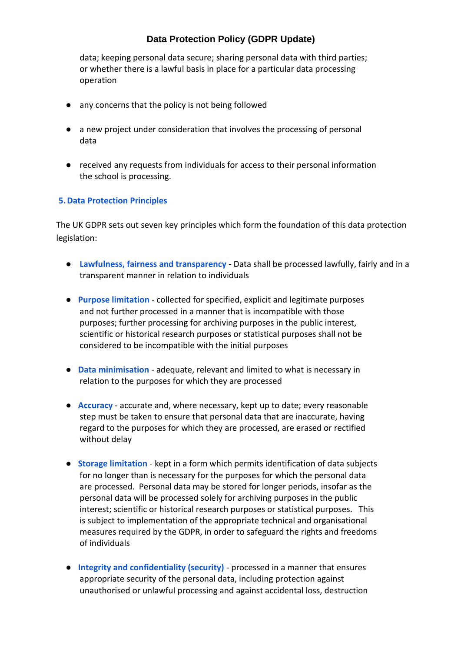data; keeping personal data secure; sharing personal data with third parties; or whether there is a lawful basis in place for a particular data processing operation

- any concerns that the policy is not being followed
- a new project under consideration that involves the processing of personal data
- received any requests from individuals for access to their personal information the school is processing.

#### <span id="page-6-0"></span>**5.Data Protection Principles**

The UK GDPR sets out seven key principles which form the foundation of this data protection legislation:

- **Lawfulness, fairness and transparency** Data shall be processed lawfully, fairly and in a transparent manner in relation to individuals
- **Purpose limitation** collected for specified, explicit and legitimate purposes and not further processed in a manner that is incompatible with those purposes; further processing for archiving purposes in the public interest, scientific or historical research purposes or statistical purposes shall not be considered to be incompatible with the initial purposes
- **Data minimisation** adequate, relevant and limited to what is necessary in relation to the purposes for which they are processed
- **Accuracy** accurate and, where necessary, kept up to date; every reasonable step must be taken to ensure that personal data that are inaccurate, having regard to the purposes for which they are processed, are erased or rectified without delay
- **Storage limitation** kept in a form which permits identification of data subjects for no longer than is necessary for the purposes for which the personal data are processed. Personal data may be stored for longer periods, insofar as the personal data will be processed solely for archiving purposes in the public interest; scientific or historical research purposes or statistical purposes. This is subject to implementation of the appropriate technical and organisational measures required by the GDPR, in order to safeguard the rights and freedoms of individuals
- **Integrity and confidentiality (security)** processed in a manner that ensures appropriate security of the personal data, including protection against unauthorised or unlawful processing and against accidental loss, destruction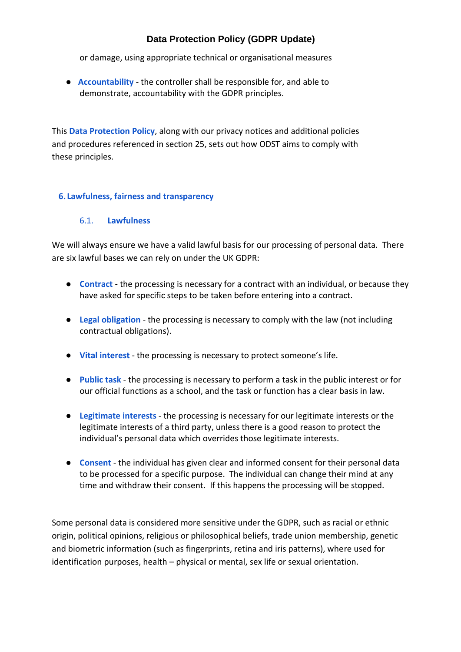or damage, using appropriate technical or organisational measures

● **Accountability** - the controller shall be responsible for, and able to demonstrate, accountability with the GDPR principles.

This **Data Protection Policy**, along with our privacy notices and additional policies and procedures referenced in section 25, sets out how ODST aims to comply with these principles.

## <span id="page-7-0"></span>**6. Lawfulness, fairness and transparency**

## 6.1. **Lawfulness**

<span id="page-7-1"></span>We will always ensure we have a valid lawful basis for our processing of personal data. There are six lawful bases we can rely on under the UK GDPR:

- **Contract** the processing is necessary for a contract with an individual, or because they have asked for specific steps to be taken before entering into a contract.
- **Legal obligation** the processing is necessary to comply with the law (not including contractual obligations).
- **Vital interest** the processing is necessary to protect someone's life.
- **Public task** the processing is necessary to perform a task in the public interest or for our official functions as a school, and the task or function has a clear basis in law.
- **Legitimate interests** the processing is necessary for our legitimate interests or the legitimate interests of a third party, unless there is a good reason to protect the individual's personal data which overrides those legitimate interests.
- **Consent** the individual has given clear and informed consent for their personal data to be processed for a specific purpose. The individual can change their mind at any time and withdraw their consent. If this happens the processing will be stopped.

Some personal data is considered more sensitive under the GDPR, such as racial or ethnic origin, political opinions, religious or philosophical beliefs, trade union membership, genetic and biometric information (such as fingerprints, retina and iris patterns), where used for identification purposes, health – physical or mental, sex life or sexual orientation.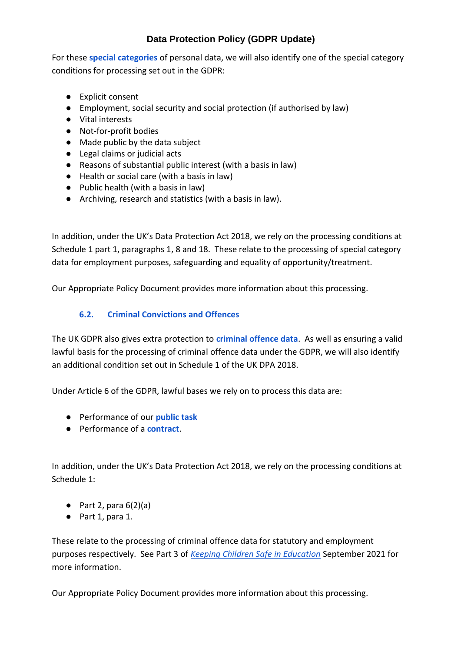For these **special categories** of personal data, we will also identify one of the special category conditions for processing set out in the GDPR:

- Explicit consent
- Employment, social security and social protection (if authorised by law)
- Vital interests
- Not-for-profit bodies
- Made public by the data subject
- Legal claims or judicial acts
- Reasons of substantial public interest (with a basis in law)
- Health or social care (with a basis in law)
- Public health (with a basis in law)
- Archiving, research and statistics (with a basis in law).

In addition, under the UK's Data Protection Act 2018, we rely on the processing conditions at Schedule 1 part 1, paragraphs 1, 8 and 18. These relate to the processing of special category data for employment purposes, safeguarding and equality of opportunity/treatment.

Our Appropriate Policy Document provides more information about this processing.

## **6.2. Criminal Convictions and Offences**

<span id="page-8-0"></span>The UK GDPR also gives extra protection to **criminal offence data**. As well as ensuring a valid lawful basis for the processing of criminal offence data under the GDPR, we will also identify an additional condition set out in Schedule 1 of the UK DPA 2018.

Under Article 6 of the GDPR, lawful bases we rely on to process this data are:

- Performance of our **public task**
- Performance of a **contract**.

In addition, under the UK's Data Protection Act 2018, we rely on the processing conditions at Schedule 1:

- $\bullet$  Part 2, para  $6(2)(a)$
- Part 1, para 1.

These relate to the processing of criminal offence data for statutory and employment purposes respectively. See Part 3 of *[Keeping Children Safe in Education](https://assets.publishing.service.gov.uk/government/uploads/system/uploads/attachment_data/file/1007260/Keeping_children_safe_in_education_2021.pdf)* September 2021 for more information.

Our Appropriate Policy Document provides more information about this processing.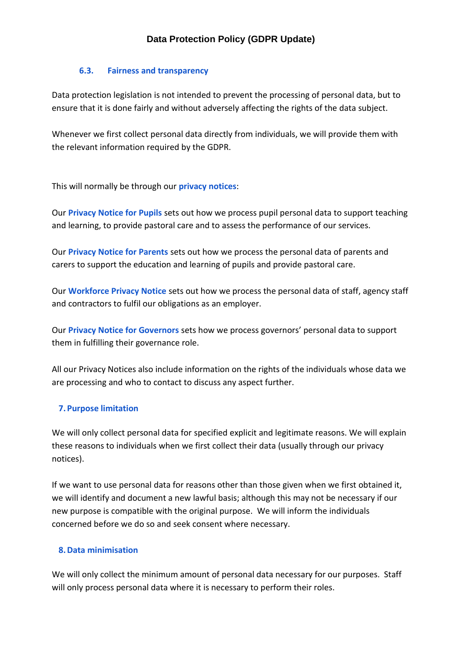### **6.3. Fairness and transparency**

<span id="page-9-0"></span>Data protection legislation is not intended to prevent the processing of personal data, but to ensure that it is done fairly and without adversely affecting the rights of the data subject.

Whenever we first collect personal data directly from individuals, we will provide them with the relevant information required by the GDPR.

This will normally be through our **privacy notices**:

Our **Privacy Notice for Pupils** sets out how we process pupil personal data to support teaching and learning, to provide pastoral care and to assess the performance of our services.

Our **Privacy Notice for Parents** sets out how we process the personal data of parents and carers to support the education and learning of pupils and provide pastoral care.

Our **Workforce Privacy Notice** sets out how we process the personal data of staff, agency staff and contractors to fulfil our obligations as an employer.

Our **Privacy Notice for Governors** sets how we process governors' personal data to support them in fulfilling their governance role.

All our Privacy Notices also include information on the rights of the individuals whose data we are processing and who to contact to discuss any aspect further.

## <span id="page-9-1"></span>**7.Purpose limitation**

We will only collect personal data for specified explicit and legitimate reasons. We will explain these reasons to individuals when we first collect their data (usually through our privacy notices).

If we want to use personal data for reasons other than those given when we first obtained it, we will identify and document a new lawful basis; although this may not be necessary if our new purpose is compatible with the original purpose. We will inform the individuals concerned before we do so and seek consent where necessary.

## <span id="page-9-2"></span>**8.Data minimisation**

We will only collect the minimum amount of personal data necessary for our purposes. Staff will only process personal data where it is necessary to perform their roles.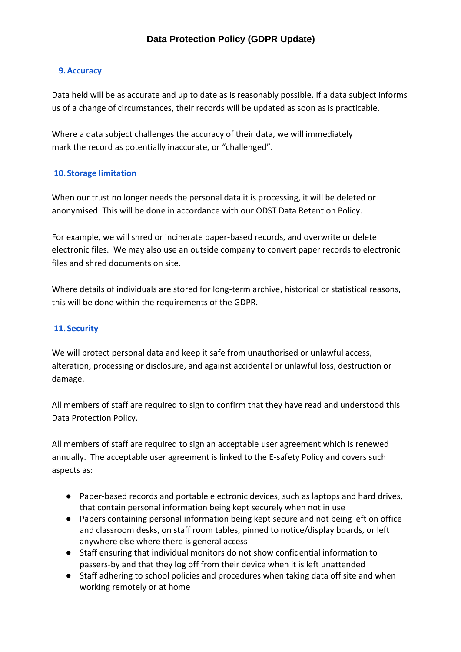### <span id="page-10-0"></span>**9.Accuracy**

Data held will be as accurate and up to date as is reasonably possible. If a data subject informs us of a change of circumstances, their records will be updated as soon as is practicable.

Where a data subject challenges the accuracy of their data, we will immediately mark the record as potentially inaccurate, or "challenged".

### <span id="page-10-1"></span>**10. Storage limitation**

When our trust no longer needs the personal data it is processing, it will be deleted or anonymised. This will be done in accordance with our ODST Data Retention Policy.

For example, we will shred or incinerate paper-based records, and overwrite or delete electronic files. We may also use an outside company to convert paper records to electronic files and shred documents on site.

Where details of individuals are stored for long-term archive, historical or statistical reasons, this will be done within the requirements of the GDPR.

## <span id="page-10-2"></span>**11. Security**

We will protect personal data and keep it safe from unauthorised or unlawful access, alteration, processing or disclosure, and against accidental or unlawful loss, destruction or damage.

All members of staff are required to sign to confirm that they have read and understood this Data Protection Policy.

All members of staff are required to sign an acceptable user agreement which is renewed annually. The acceptable user agreement is linked to the E-safety Policy and covers such aspects as:

- Paper-based records and portable electronic devices, such as laptops and hard drives, that contain personal information being kept securely when not in use
- Papers containing personal information being kept secure and not being left on office and classroom desks, on staff room tables, pinned to notice/display boards, or left anywhere else where there is general access
- Staff ensuring that individual monitors do not show confidential information to passers-by and that they log off from their device when it is left unattended
- Staff adhering to school policies and procedures when taking data off site and when working remotely or at home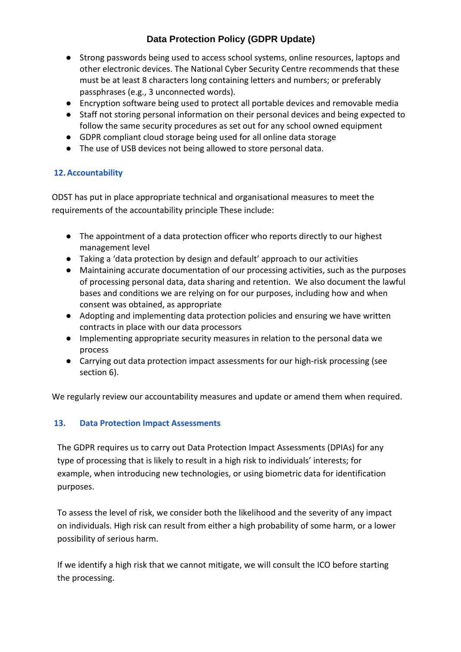- Strong passwords being used to access school systems, online resources, laptops and other electronic devices. The National Cyber Security Centre recommends that these must be at least 8 characters long containing letters and numbers; or preferably passphrases (e.g., 3 unconnected words).
- Encryption software being used to protect all portable devices and removable media
- Staff not storing personal information on their personal devices and being expected to follow the same security procedures as set out for any school owned equipment
- GDPR compliant cloud storage being used for all online data storage
- The use of USB devices not being allowed to store personal data.

## <span id="page-11-0"></span>**12.Accountability**

ODST has put in place appropriate technical and organisational measures to meet the requirements of the accountability principle These include:

- The appointment of a data protection officer who reports directly to our highest management level
- Taking a 'data protection by design and default' approach to our activities
- Maintaining accurate documentation of our processing activities, such as the purposes of processing personal data, data sharing and retention. We also document the lawful bases and conditions we are relying on for our purposes, including how and when consent was obtained, as appropriate
- Adopting and implementing data protection policies and ensuring we have written contracts in place with our data processors
- Implementing appropriate security measures in relation to the personal data we process
- Carrying out data protection impact assessments for our high-risk processing (see section 6).

We regularly review our accountability measures and update or amend them when required.

### <span id="page-11-1"></span>**13. Data Protection Impact Assessments**

The GDPR requires us to carry out Data Protection Impact Assessments (DPIAs) for any type of processing that is likely to result in a high risk to individuals' interests; for example, when introducing new technologies, or using biometric data for identification purposes.

To assess the level of risk, we consider both the likelihood and the severity of any impact on individuals. High risk can result from either a high probability of some harm, or a lower possibility of serious harm.

If we identify a high risk that we cannot mitigate, we will consult the ICO before starting the processing.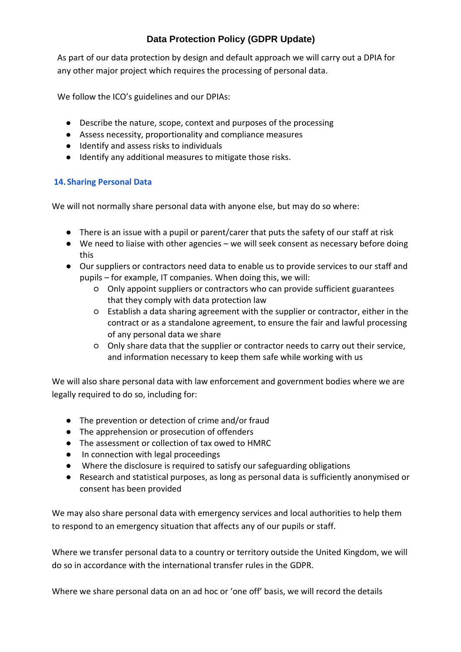As part of our data protection by design and default approach we will carry out a DPIA for any other major project which requires the processing of personal data.

We follow the ICO's guidelines and our DPIAs:

- Describe the nature, scope, context and purposes of the processing
- Assess necessity, proportionality and compliance measures
- Identify and assess risks to individuals
- Identify any additional measures to mitigate those risks.

## <span id="page-12-0"></span>**14. Sharing Personal Data**

We will not normally share personal data with anyone else, but may do so where:

- There is an issue with a pupil or parent/carer that puts the safety of our staff at risk
- We need to liaise with other agencies we will seek consent as necessary before doing this
- Our suppliers or contractors need data to enable us to provide services to our staff and pupils – for example, IT companies. When doing this, we will:
	- Only appoint suppliers or contractors who can provide sufficient guarantees that they comply with data protection law
	- Establish a data sharing agreement with the supplier or contractor, either in the contract or as a standalone agreement, to ensure the fair and lawful processing of any personal data we share
	- Only share data that the supplier or contractor needs to carry out their service, and information necessary to keep them safe while working with us

We will also share personal data with law enforcement and government bodies where we are legally required to do so, including for:

- The prevention or detection of crime and/or fraud
- The apprehension or prosecution of offenders
- The assessment or collection of tax owed to HMRC
- In connection with legal proceedings
- Where the disclosure is required to satisfy our safeguarding obligations
- Research and statistical purposes, as long as personal data is sufficiently anonymised or consent has been provided

We may also share personal data with emergency services and local authorities to help them to respond to an emergency situation that affects any of our pupils or staff.

Where we transfer personal data to a country or territory outside the United Kingdom, we will do so in accordance with the international transfer rules in the GDPR.

Where we share personal data on an ad hoc or 'one off' basis, we will record the details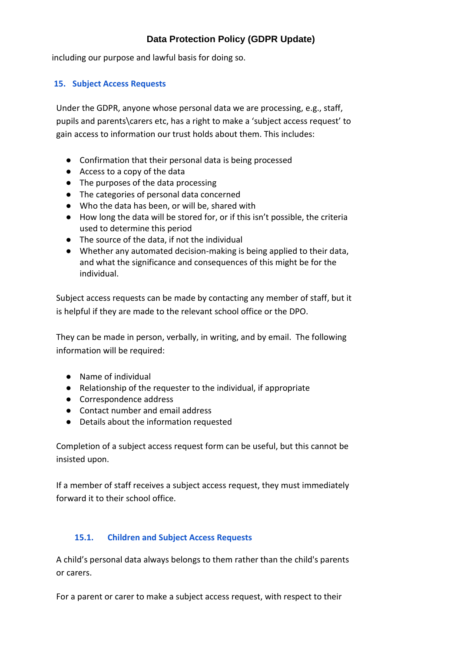including our purpose and lawful basis for doing so.

## <span id="page-13-0"></span>**15. Subject Access Requests**

Under the GDPR, anyone whose personal data we are processing, e.g., staff, pupils and parents\carers etc, has a right to make a 'subject access request' to gain access to information our trust holds about them. This includes:

- Confirmation that their personal data is being processed
- Access to a copy of the data
- The purposes of the data processing
- The categories of personal data concerned
- Who the data has been, or will be, shared with
- How long the data will be stored for, or if this isn't possible, the criteria used to determine this period
- The source of the data, if not the individual
- Whether any automated decision-making is being applied to their data, and what the significance and consequences of this might be for the individual.

Subject access requests can be made by contacting any member of staff, but it is helpful if they are made to the relevant school office or the DPO.

They can be made in person, verbally, in writing, and by email. The following information will be required:

- Name of individual
- Relationship of the requester to the individual, if appropriate
- Correspondence address
- Contact number and email address
- Details about the information requested

Completion of a subject access request form can be useful, but this cannot be insisted upon.

If a member of staff receives a subject access request, they must immediately forward it to their school office.

### **15.1. Children and Subject Access Requests**

<span id="page-13-1"></span>A child's personal data always belongs to them rather than the child's parents or carers.

For a parent or carer to make a subject access request, with respect to their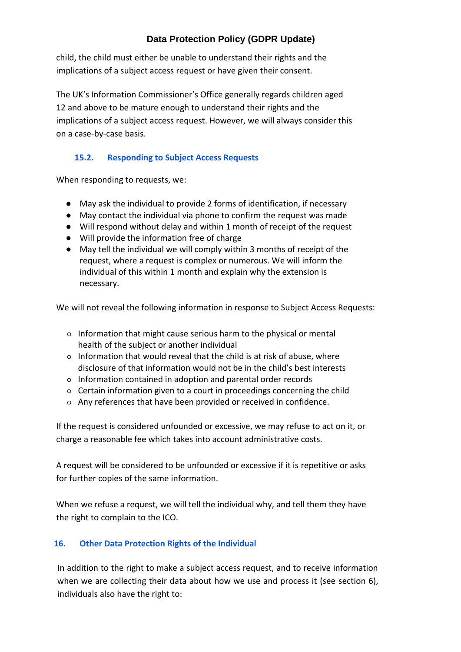child, the child must either be unable to understand their rights and the implications of a subject access request or have given their consent.

The UK's Information Commissioner's Office generally regards children aged 12 and above to be mature enough to understand their rights and the implications of a subject access request. However, we will always consider this on a case-by-case basis.

## **15.2. Responding to Subject Access Requests**

<span id="page-14-0"></span>When responding to requests, we:

- May ask the individual to provide 2 forms of identification, if necessary
- May contact the individual via phone to confirm the request was made
- Will respond without delay and within 1 month of receipt of the request
- Will provide the information free of charge
- May tell the individual we will comply within 3 months of receipt of the request, where a request is complex or numerous. We will inform the individual of this within 1 month and explain why the extension is necessary.

We will not reveal the following information in response to Subject Access Requests:

- Information that might cause serious harm to the physical or mental health of the subject or another individual
- Information that would reveal that the child is at risk of abuse, where disclosure of that information would not be in the child's best interests
- Information contained in adoption and parental order records
- Certain information given to a court in proceedings concerning the child
- Any references that have been provided or received in confidence.

If the request is considered unfounded or excessive, we may refuse to act on it, or charge a reasonable fee which takes into account administrative costs.

A request will be considered to be unfounded or excessive if it is repetitive or asks for further copies of the same information.

When we refuse a request, we will tell the individual why, and tell them they have the right to complain to the ICO.

## <span id="page-14-1"></span>**16. Other Data Protection Rights of the Individual**

In addition to the right to make a subject access request, and to receive information when we are collecting their data about how we use and process it (see section 6), individuals also have the right to: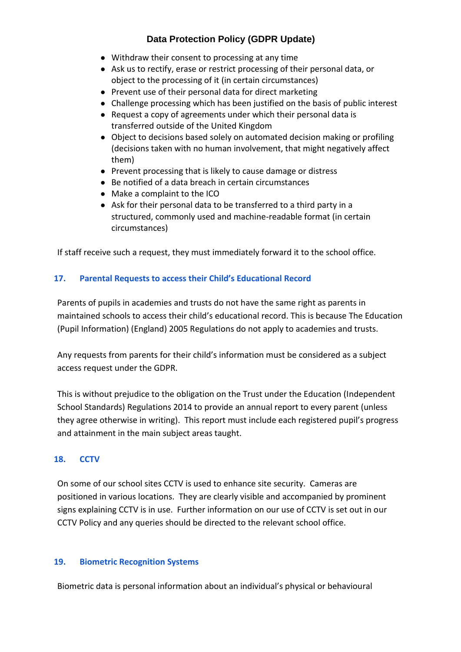- Withdraw their consent to processing at any time
- Ask us to rectify, erase or restrict processing of their personal data, or object to the processing of it (in certain circumstances)
- Prevent use of their personal data for direct marketing
- Challenge processing which has been justified on the basis of public interest
- Request a copy of agreements under which their personal data is transferred outside of the United Kingdom
- Object to decisions based solely on automated decision making or profiling (decisions taken with no human involvement, that might negatively affect them)
- Prevent processing that is likely to cause damage or distress
- Be notified of a data breach in certain circumstances
- Make a complaint to the ICO
- Ask for their personal data to be transferred to a third party in a structured, commonly used and machine-readable format (in certain circumstances)

If staff receive such a request, they must immediately forward it to the school office.

## <span id="page-15-0"></span>**17. Parental Requests to access their Child's Educational Record**

Parents of pupils in academies and trusts do not have the same right as parents in maintained schools to access their child's educational record. This is because The Education (Pupil Information) (England) 2005 Regulations do not apply to academies and trusts.

Any requests from parents for their child's information must be considered as a subject access request under the GDPR.

This is without prejudice to the obligation on the Trust under the Education (Independent School Standards) Regulations 2014 to provide an annual report to every parent (unless they agree otherwise in writing). This report must include each registered pupil's progress and attainment in the main subject areas taught.

## <span id="page-15-1"></span>**18. CCTV**

On some of our school sites CCTV is used to enhance site security. Cameras are positioned in various locations. They are clearly visible and accompanied by prominent signs explaining CCTV is in use. Further information on our use of CCTV is set out in our CCTV Policy and any queries should be directed to the relevant school office.

### <span id="page-15-2"></span>**19. Biometric Recognition Systems**

Biometric data is personal information about an individual's physical or behavioural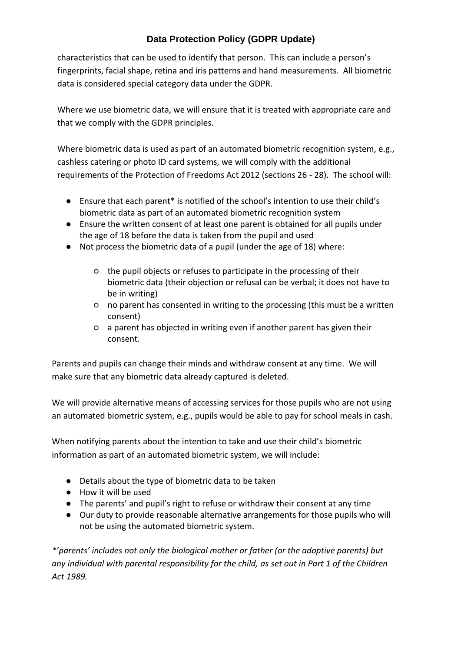characteristics that can be used to identify that person. This can include a person's fingerprints, facial shape, retina and iris patterns and hand measurements. All biometric data is considered special category data under the GDPR.

Where we use biometric data, we will ensure that it is treated with appropriate care and that we comply with the GDPR principles.

Where biometric data is used as part of an automated biometric recognition system, e.g., cashless catering or photo ID card systems, we will comply with the additional requirements of the Protection of Freedoms Act 2012 (sections 26 - 28). The school will:

- Ensure that each parent\* is notified of the school's intention to use their child's biometric data as part of an automated biometric recognition system
- Ensure the written consent of at least one parent is obtained for all pupils under the age of 18 before the data is taken from the pupil and used
- Not process the biometric data of a pupil (under the age of 18) where:
	- the pupil objects or refuses to participate in the processing of their biometric data (their objection or refusal can be verbal; it does not have to be in writing)
	- no parent has consented in writing to the processing (this must be a written consent)
	- a parent has objected in writing even if another parent has given their consent.

Parents and pupils can change their minds and withdraw consent at any time. We will make sure that any biometric data already captured is deleted.

We will provide alternative means of accessing services for those pupils who are not using an automated biometric system, e.g., pupils would be able to pay for school meals in cash.

When notifying parents about the intention to take and use their child's biometric information as part of an automated biometric system, we will include:

- Details about the type of biometric data to be taken
- How it will be used
- The parents' and pupil's right to refuse or withdraw their consent at any time
- Our duty to provide reasonable alternative arrangements for those pupils who will not be using the automated biometric system.

*\*'parents' includes not only the biological mother or father (or the adoptive parents) but any individual with parental responsibility for the child, as set out in Part 1 of the Children Act 1989.*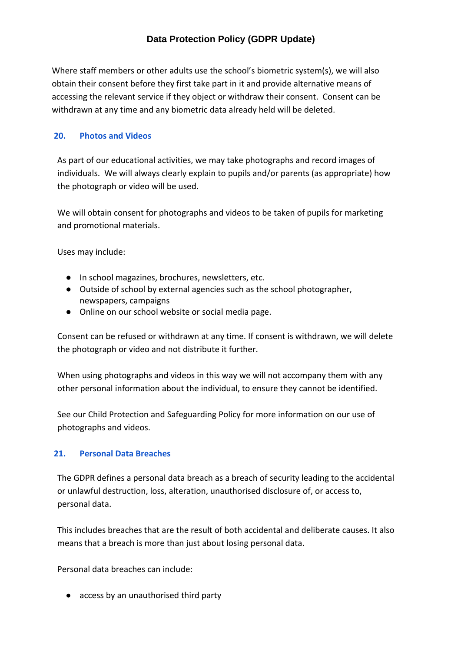Where staff members or other adults use the school's biometric system(s), we will also obtain their consent before they first take part in it and provide alternative means of accessing the relevant service if they object or withdraw their consent. Consent can be withdrawn at any time and any biometric data already held will be deleted.

### <span id="page-17-0"></span>**20. Photos and Videos**

As part of our educational activities, we may take photographs and record images of individuals. We will always clearly explain to pupils and/or parents (as appropriate) how the photograph or video will be used.

We will obtain consent for photographs and videos to be taken of pupils for marketing and promotional materials.

Uses may include:

- In school magazines, brochures, newsletters, etc.
- Outside of school by external agencies such as the school photographer, newspapers, campaigns
- Online on our school website or social media page.

Consent can be refused or withdrawn at any time. If consent is withdrawn, we will delete the photograph or video and not distribute it further.

When using photographs and videos in this way we will not accompany them with any other personal information about the individual, to ensure they cannot be identified.

See our Child Protection and Safeguarding Policy for more information on our use of photographs and videos.

### <span id="page-17-1"></span>**21. Personal Data Breaches**

The GDPR defines a personal data breach as a breach of security leading to the accidental or unlawful destruction, loss, alteration, unauthorised disclosure of, or access to, personal data.

This includes breaches that are the result of both accidental and deliberate causes. It also means that a breach is more than just about losing personal data.

Personal data breaches can include:

● access by an unauthorised third party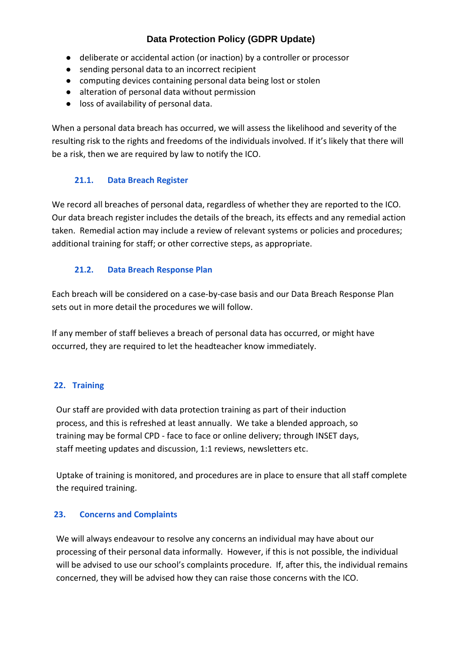- deliberate or accidental action (or inaction) by a controller or processor
- sending personal data to an incorrect recipient
- computing devices containing personal data being lost or stolen
- alteration of personal data without permission
- loss of availability of personal data.

When a personal data breach has occurred, we will assess the likelihood and severity of the resulting risk to the rights and freedoms of the individuals involved. If it's likely that there will be a risk, then we are required by law to notify the ICO.

## **21.1. Data Breach Register**

<span id="page-18-0"></span>We record all breaches of personal data, regardless of whether they are reported to the ICO. Our data breach register includes the details of the breach, its effects and any remedial action taken. Remedial action may include a review of relevant systems or policies and procedures; additional training for staff; or other corrective steps, as appropriate.

## <span id="page-18-1"></span>**21.2. Data Breach Response Plan**

Each breach will be considered on a case-by-case basis and our Data Breach Response Plan sets out in more detail the procedures we will follow.

If any member of staff believes a breach of personal data has occurred, or might have occurred, they are required to let the headteacher know immediately.

## <span id="page-18-2"></span>**22. Training**

Our staff are provided with data protection training as part of their induction process, and this is refreshed at least annually. We take a blended approach, so training may be formal CPD - face to face or online delivery; through INSET days, staff meeting updates and discussion, 1:1 reviews, newsletters etc.

Uptake of training is monitored, and procedures are in place to ensure that all staff complete the required training.

## <span id="page-18-3"></span>**23. Concerns and Complaints**

We will always endeavour to resolve any concerns an individual may have about our processing of their personal data informally. However, if this is not possible, the individual will be advised to use our school's complaints procedure. If, after this, the individual remains concerned, they will be advised how they can raise those concerns with the ICO.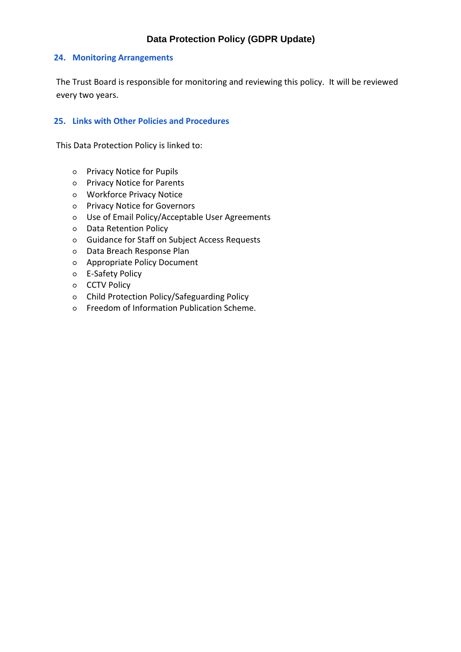#### <span id="page-19-0"></span>**24. Monitoring Arrangements**

The Trust Board is responsible for monitoring and reviewing this policy. It will be reviewed every two years.

#### <span id="page-19-1"></span>**25. Links with Other Policies and Procedures**

This Data Protection Policy is linked to:

- Privacy Notice for Pupils
- Privacy Notice for Parents
- Workforce Privacy Notice
- Privacy Notice for Governors
- Use of Email Policy/Acceptable User Agreements
- Data Retention Policy
- Guidance for Staff on Subject Access Requests
- Data Breach Response Plan
- Appropriate Policy Document
- E-Safety Policy
- o CCTV Policy
- Child Protection Policy/Safeguarding Policy
- Freedom of Information Publication Scheme.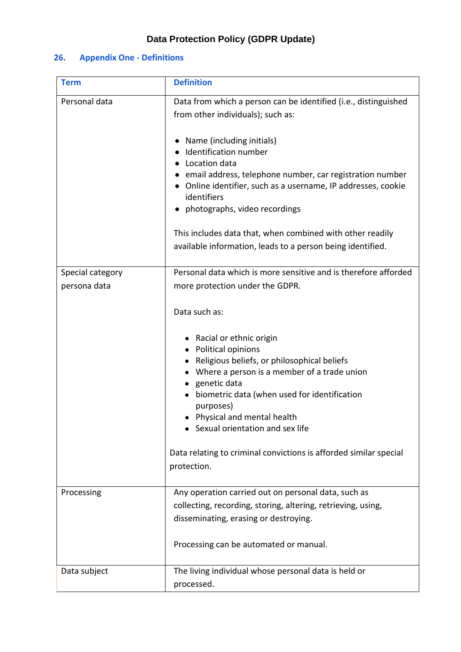## <span id="page-20-0"></span>**26. Appendix One - Definitions**

| <b>Term</b>                      | <b>Definition</b>                                                                                                                                                                                                                                                                                                                                                                                                                                                                                        |
|----------------------------------|----------------------------------------------------------------------------------------------------------------------------------------------------------------------------------------------------------------------------------------------------------------------------------------------------------------------------------------------------------------------------------------------------------------------------------------------------------------------------------------------------------|
| Personal data                    | Data from which a person can be identified (i.e., distinguished<br>from other individuals); such as:<br>Name (including initials)<br>Identification number<br>Location data<br>• email address, telephone number, car registration number<br>• Online identifier, such as a username, IP addresses, cookie<br>identifiers<br>• photographs, video recordings<br>This includes data that, when combined with other readily<br>available information, leads to a person being identified.                  |
| Special category<br>persona data | Personal data which is more sensitive and is therefore afforded<br>more protection under the GDPR.<br>Data such as:<br>• Racial or ethnic origin<br>Political opinions<br>• Religious beliefs, or philosophical beliefs<br>Where a person is a member of a trade union<br>genetic data<br>biometric data (when used for identification<br>purposes)<br>Physical and mental health<br>Sexual orientation and sex life<br>Data relating to criminal convictions is afforded similar special<br>protection. |
| Processing                       | Any operation carried out on personal data, such as<br>collecting, recording, storing, altering, retrieving, using,<br>disseminating, erasing or destroying.<br>Processing can be automated or manual.                                                                                                                                                                                                                                                                                                   |
| Data subject                     | The living individual whose personal data is held or<br>processed.                                                                                                                                                                                                                                                                                                                                                                                                                                       |